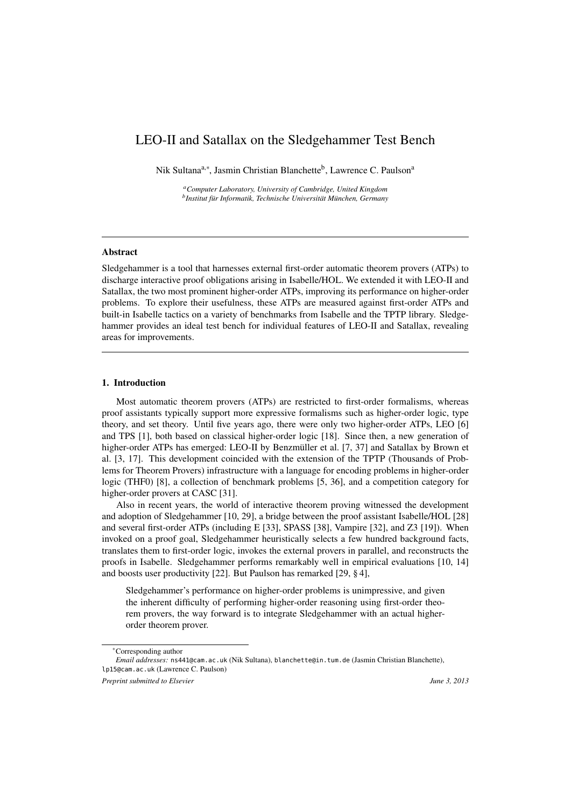# LEO-II and Satallax on the Sledgehammer Test Bench

Nik Sultana<sup>a,∗</sup>, Jasmin Christian Blanchette<sup>b</sup>, Lawrence C. Paulson<sup>a</sup>

*<sup>a</sup>Computer Laboratory, University of Cambridge, United Kingdom b Institut für Informatik, Technische Universität München, Germany*

#### Abstract

Sledgehammer is a tool that harnesses external first-order automatic theorem provers (ATPs) to discharge interactive proof obligations arising in Isabelle/HOL. We extended it with LEO-II and Satallax, the two most prominent higher-order ATPs, improving its performance on higher-order problems. To explore their usefulness, these ATPs are measured against first-order ATPs and built-in Isabelle tactics on a variety of benchmarks from Isabelle and the TPTP library. Sledgehammer provides an ideal test bench for individual features of LEO-II and Satallax, revealing areas for improvements.

## 1. Introduction

Most automatic theorem provers (ATPs) are restricted to first-order formalisms, whereas proof assistants typically support more expressive formalisms such as higher-order logic, type theory, and set theory. Until five years ago, there were only two higher-order ATPs, LEO [6] and TPS [1], both based on classical higher-order logic [18]. Since then, a new generation of higher-order ATPs has emerged: LEO-II by Benzmüller et al. [7, 37] and Satallax by Brown et al. [3, 17]. This development coincided with the extension of the TPTP (Thousands of Problems for Theorem Provers) infrastructure with a language for encoding problems in higher-order logic (THF0) [8], a collection of benchmark problems [5, 36], and a competition category for higher-order provers at CASC [31].

Also in recent years, the world of interactive theorem proving witnessed the development and adoption of Sledgehammer [10, 29], a bridge between the proof assistant Isabelle/HOL [28] and several first-order ATPs (including E [33], SPASS [38], Vampire [32], and Z3 [19]). When invoked on a proof goal, Sledgehammer heuristically selects a few hundred background facts, translates them to first-order logic, invokes the external provers in parallel, and reconstructs the proofs in Isabelle. Sledgehammer performs remarkably well in empirical evaluations [10, 14] and boosts user productivity [22]. But Paulson has remarked [29, § 4],

Sledgehammer's performance on higher-order problems is unimpressive, and given the inherent difficulty of performing higher-order reasoning using first-order theorem provers, the way forward is to integrate Sledgehammer with an actual higherorder theorem prover.

<sup>∗</sup>Corresponding author

*Email addresses:* ns441@cam.ac.uk (Nik Sultana), blanchette@in.tum.de (Jasmin Christian Blanchette), lp15@cam.ac.uk (Lawrence C. Paulson)

*Preprint submitted to Elsevier June 3, 2013*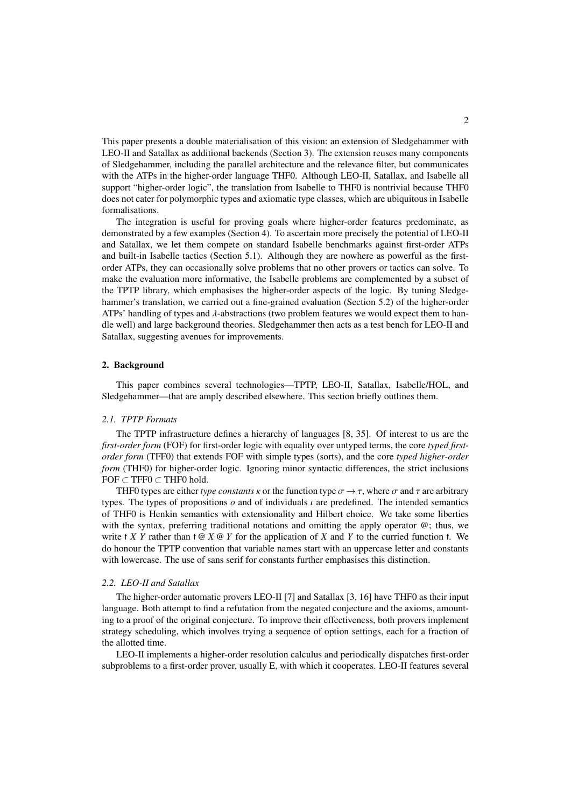This paper presents a double materialisation of this vision: an extension of Sledgehammer with LEO-II and Satallax as additional backends (Section 3). The extension reuses many components of Sledgehammer, including the parallel architecture and the relevance filter, but communicates with the ATPs in the higher-order language THF0. Although LEO-II, Satallax, and Isabelle all support "higher-order logic", the translation from Isabelle to THF0 is nontrivial because THF0 does not cater for polymorphic types and axiomatic type classes, which are ubiquitous in Isabelle formalisations.

The integration is useful for proving goals where higher-order features predominate, as demonstrated by a few examples (Section 4). To ascertain more precisely the potential of LEO-II and Satallax, we let them compete on standard Isabelle benchmarks against first-order ATPs and built-in Isabelle tactics (Section 5.1). Although they are nowhere as powerful as the firstorder ATPs, they can occasionally solve problems that no other provers or tactics can solve. To make the evaluation more informative, the Isabelle problems are complemented by a subset of the TPTP library, which emphasises the higher-order aspects of the logic. By tuning Sledgehammer's translation, we carried out a fine-grained evaluation (Section 5.2) of the higher-order ATPs' handling of types and λ-abstractions (two problem features we would expect them to handle well) and large background theories. Sledgehammer then acts as a test bench for LEO-II and Satallax, suggesting avenues for improvements.

#### 2. Background

This paper combines several technologies—TPTP, LEO-II, Satallax, Isabelle/HOL, and Sledgehammer—that are amply described elsewhere. This section briefly outlines them.

#### *2.1. TPTP Formats*

The TPTP infrastructure defines a hierarchy of languages [8, 35]. Of interest to us are the *first-order form* (FOF) for first-order logic with equality over untyped terms, the core *typed firstorder form* (TFF0) that extends FOF with simple types (sorts), and the core *typed higher-order form* (THF0) for higher-order logic. Ignoring minor syntactic differences, the strict inclusions  $FOF \subset TFF0 \subset THF0$  hold.

THF0 types are either *type constants*  $\kappa$  or the function type  $\sigma \to \tau$ , where  $\sigma$  and  $\tau$  are arbitrary types. The types of propositions  $\rho$  and of individuals  $\iota$  are predefined. The intended semantics of THF0 is Henkin semantics with extensionality and Hilbert choice. We take some liberties with the syntax, preferring traditional notations and omitting the apply operator @; thus, we write f *X Y* rather than  $f \otimes X \otimes Y$  for the application of *X* and *Y* to the curried function f. We do honour the TPTP convention that variable names start with an uppercase letter and constants with lowercase. The use of sans serif for constants further emphasises this distinction.

#### *2.2. LEO-II and Satallax*

The higher-order automatic provers LEO-II [7] and Satallax [3, 16] have THF0 as their input language. Both attempt to find a refutation from the negated conjecture and the axioms, amounting to a proof of the original conjecture. To improve their effectiveness, both provers implement strategy scheduling, which involves trying a sequence of option settings, each for a fraction of the allotted time.

LEO-II implements a higher-order resolution calculus and periodically dispatches first-order subproblems to a first-order prover, usually E, with which it cooperates. LEO-II features several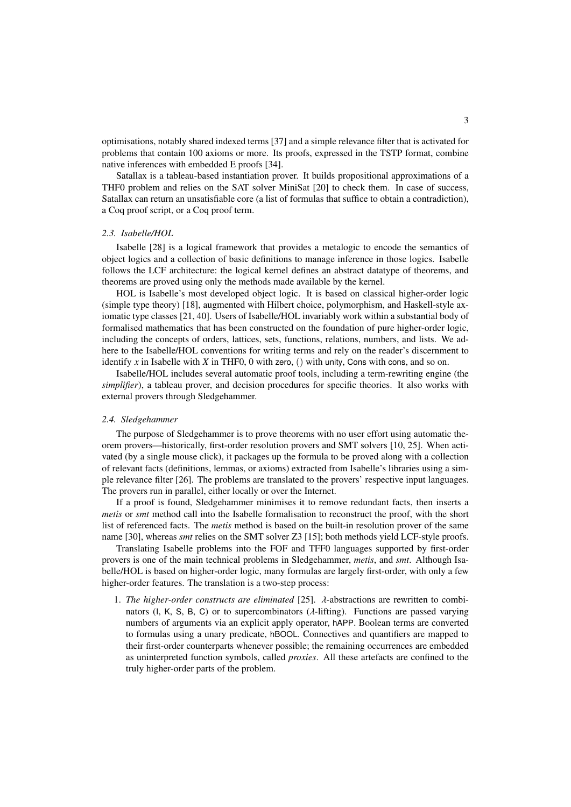optimisations, notably shared indexed terms [37] and a simple relevance filter that is activated for problems that contain 100 axioms or more. Its proofs, expressed in the TSTP format, combine native inferences with embedded E proofs [34].

Satallax is a tableau-based instantiation prover. It builds propositional approximations of a THF0 problem and relies on the SAT solver MiniSat [20] to check them. In case of success, Satallax can return an unsatisfiable core (a list of formulas that suffice to obtain a contradiction), a Coq proof script, or a Coq proof term.

#### *2.3. Isabelle/HOL*

Isabelle [28] is a logical framework that provides a metalogic to encode the semantics of object logics and a collection of basic definitions to manage inference in those logics. Isabelle follows the LCF architecture: the logical kernel defines an abstract datatype of theorems, and theorems are proved using only the methods made available by the kernel.

HOL is Isabelle's most developed object logic. It is based on classical higher-order logic (simple type theory) [18], augmented with Hilbert choice, polymorphism, and Haskell-style axiomatic type classes [21, 40]. Users of Isabelle/HOL invariably work within a substantial body of formalised mathematics that has been constructed on the foundation of pure higher-order logic, including the concepts of orders, lattices, sets, functions, relations, numbers, and lists. We adhere to the Isabelle/HOL conventions for writing terms and rely on the reader's discernment to identify *x* in Isabelle with *X* in THF0, 0 with zero, () with unity, Cons with cons, and so on.

Isabelle/HOL includes several automatic proof tools, including a term-rewriting engine (the *simplifier*), a tableau prover, and decision procedures for specific theories. It also works with external provers through Sledgehammer.

#### *2.4. Sledgehammer*

The purpose of Sledgehammer is to prove theorems with no user effort using automatic theorem provers—historically, first-order resolution provers and SMT solvers [10, 25]. When activated (by a single mouse click), it packages up the formula to be proved along with a collection of relevant facts (definitions, lemmas, or axioms) extracted from Isabelle's libraries using a simple relevance filter [26]. The problems are translated to the provers' respective input languages. The provers run in parallel, either locally or over the Internet.

If a proof is found, Sledgehammer minimises it to remove redundant facts, then inserts a *metis* or *smt* method call into the Isabelle formalisation to reconstruct the proof, with the short list of referenced facts. The *metis* method is based on the built-in resolution prover of the same name [30], whereas *smt* relies on the SMT solver Z3 [15]; both methods yield LCF-style proofs.

Translating Isabelle problems into the FOF and TFF0 languages supported by first-order provers is one of the main technical problems in Sledgehammer, *metis*, and *smt*. Although Isabelle/HOL is based on higher-order logic, many formulas are largely first-order, with only a few higher-order features. The translation is a two-step process:

1. *The higher-order constructs are eliminated* [25]. λ-abstractions are rewritten to combinators (I, K, S, B, C) or to supercombinators ( $\lambda$ -lifting). Functions are passed varying numbers of arguments via an explicit apply operator, hAPP. Boolean terms are converted to formulas using a unary predicate, hBOOL. Connectives and quantifiers are mapped to their first-order counterparts whenever possible; the remaining occurrences are embedded as uninterpreted function symbols, called *proxies*. All these artefacts are confined to the truly higher-order parts of the problem.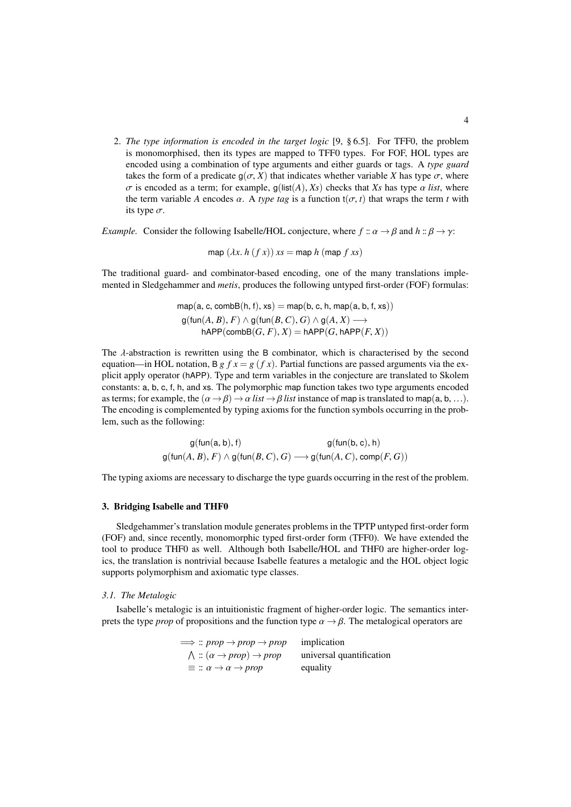2. *The type information is encoded in the target logic* [9, § 6.5]. For TFF0, the problem is monomorphised, then its types are mapped to TFF0 types. For FOF, HOL types are encoded using a combination of type arguments and either guards or tags. A *type guard* takes the form of a predicate  $g(\sigma, X)$  that indicates whether variable *X* has type  $\sigma$ , where  $\sigma$  is encoded as a term; for example,  $g(ist(A), Xs)$  checks that *Xs* has type  $\alpha$  *list*, where the term variable *A* encodes  $\alpha$ . A *type tag* is a function  $t(\sigma, t)$  that wraps the term *t* with its type  $\sigma$ .

*Example.* Consider the following Isabelle/HOL conjecture, where  $f :: \alpha \rightarrow \beta$  and  $h :: \beta \rightarrow \gamma$ :

map 
$$
(\lambda x. h(fx)) xs = \text{map } h(\text{map } f xs)
$$

The traditional guard- and combinator-based encoding, one of the many translations implemented in Sledgehammer and *metis*, produces the following untyped first-order (FOF) formulas:

$$
\begin{aligned} \mathsf{map}(\mathsf{a}, \mathsf{c}, \mathsf{combB}(\mathsf{h}, \mathsf{f}), \mathsf{xs}) & = \mathsf{map}(\mathsf{b}, \mathsf{c}, \mathsf{h}, \mathsf{map}(\mathsf{a}, \mathsf{b}, \mathsf{f}, \mathsf{xs})) \\ \mathsf{g}(\mathsf{fun}(A, B), F) & \land \mathsf{g}(\mathsf{fun}(B, C), G) \land \mathsf{g}(A, X) \longrightarrow \\ \mathsf{hAPP}(\mathsf{combB}(G, F), X) & = \mathsf{hAPP}(G, \mathsf{hAPP}(F, X)) \end{aligned}
$$

The  $\lambda$ -abstraction is rewritten using the B combinator, which is characterised by the second equation—in HOL notation, B *g*  $f x = g(f x)$ . Partial functions are passed arguments via the explicit apply operator (hAPP). Type and term variables in the conjecture are translated to Skolem constants: a, b, c, f, h, and xs. The polymorphic map function takes two type arguments encoded as terms; for example, the  $(\alpha \rightarrow \beta) \rightarrow \alpha$  *list*  $\rightarrow \beta$  *list* instance of map is translated to map(a, b, ...). The encoding is complemented by typing axioms for the function symbols occurring in the problem, such as the following:

$$
g(\text{fun}(a, b), f) \qquad g(\text{fun}(b, c), h)
$$
  

$$
g(\text{fun}(A, B), F) \land g(\text{fun}(B, C), G) \longrightarrow g(\text{fun}(A, C), \text{comp}(F, G))
$$

The typing axioms are necessary to discharge the type guards occurring in the rest of the problem.

#### 3. Bridging Isabelle and THF0

Sledgehammer's translation module generates problems in the TPTP untyped first-order form (FOF) and, since recently, monomorphic typed first-order form (TFF0). We have extended the tool to produce THF0 as well. Although both Isabelle/HOL and THF0 are higher-order logics, the translation is nontrivial because Isabelle features a metalogic and the HOL object logic supports polymorphism and axiomatic type classes.

# *3.1. The Metalogic*

Isabelle's metalogic is an intuitionistic fragment of higher-order logic. The semantics interprets the type *prop* of propositions and the function type  $\alpha \rightarrow \beta$ . The metalogical operators are

| $\implies$ : prop $\rightarrow$ prop $\rightarrow$ prop | implication              |
|---------------------------------------------------------|--------------------------|
| $\wedge$ : $(\alpha \rightarrow prop) \rightarrow prop$ | universal quantification |
| $\equiv$ : $\alpha \rightarrow \alpha \rightarrow prop$ | equality                 |
|                                                         |                          |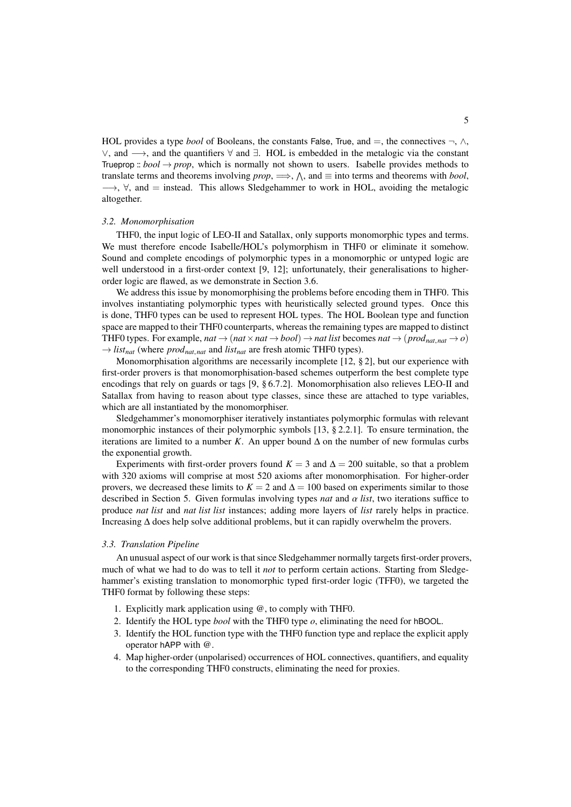HOL provides a type *bool* of Booleans, the constants False, True, and  $=$ , the connectives  $\neg$ ,  $\wedge$ ,  $\lor$ , and  $\rightarrow$ , and the quantifiers  $\forall$  and  $\exists$ . HOL is embedded in the metalogic via the constant Trueprop :: *bool*  $\rightarrow$  *prop*, which is normally not shown to users. Isabelle provides methods to translate terms and theorems involving *prop*,  $\implies$ ,  $\wedge$ , and  $\equiv$  into terms and theorems with *bool*,  $\rightarrow$ ,  $\forall$ , and = instead. This allows Sledgehammer to work in HOL, avoiding the metalogic altogether.

## *3.2. Monomorphisation*

THF0, the input logic of LEO-II and Satallax, only supports monomorphic types and terms. We must therefore encode Isabelle/HOL's polymorphism in THF0 or eliminate it somehow. Sound and complete encodings of polymorphic types in a monomorphic or untyped logic are well understood in a first-order context [9, 12]; unfortunately, their generalisations to higherorder logic are flawed, as we demonstrate in Section 3.6.

We address this issue by monomorphising the problems before encoding them in THF0. This involves instantiating polymorphic types with heuristically selected ground types. Once this is done, THF0 types can be used to represent HOL types. The HOL Boolean type and function space are mapped to their THF0 counterparts, whereas the remaining types are mapped to distinct THF0 types. For example, *nat*  $\rightarrow$  (*nat*  $\times$  *nat*  $\rightarrow$  *bool*)  $\rightarrow$  *nat list* becomes *nat*  $\rightarrow$  (*prod<sub>nat, nat*  $\rightarrow$  *o*)</sub>  $\rightarrow$  *list<sub>nat</sub>* (where *prod<sub>nat, nat* and *list<sub>nat</sub>* are fresh atomic THF0 types).</sub>

Monomorphisation algorithms are necessarily incomplete [12, § 2], but our experience with first-order provers is that monomorphisation-based schemes outperform the best complete type encodings that rely on guards or tags [9, § 6.7.2]. Monomorphisation also relieves LEO-II and Satallax from having to reason about type classes, since these are attached to type variables, which are all instantiated by the monomorphiser.

Sledgehammer's monomorphiser iteratively instantiates polymorphic formulas with relevant monomorphic instances of their polymorphic symbols [13, § 2.2.1]. To ensure termination, the iterations are limited to a number *K*. An upper bound  $\Delta$  on the number of new formulas curbs the exponential growth.

Experiments with first-order provers found  $K = 3$  and  $\Delta = 200$  suitable, so that a problem with 320 axioms will comprise at most 520 axioms after monomorphisation. For higher-order provers, we decreased these limits to  $K = 2$  and  $\Delta = 100$  based on experiments similar to those described in Section 5. Given formulas involving types *nat* and  $\alpha$  *list*, two iterations suffice to produce *nat list* and *nat list list* instances; adding more layers of *list* rarely helps in practice. Increasing ∆ does help solve additional problems, but it can rapidly overwhelm the provers.

#### *3.3. Translation Pipeline*

An unusual aspect of our work is that since Sledgehammer normally targets first-order provers, much of what we had to do was to tell it *not* to perform certain actions. Starting from Sledgehammer's existing translation to monomorphic typed first-order logic (TFF0), we targeted the THF0 format by following these steps:

- 1. Explicitly mark application using @, to comply with THF0.
- 2. Identify the HOL type *bool* with the THF0 type *o*, eliminating the need for hBOOL.
- 3. Identify the HOL function type with the THF0 function type and replace the explicit apply operator hAPP with @.
- 4. Map higher-order (unpolarised) occurrences of HOL connectives, quantifiers, and equality to the corresponding THF0 constructs, eliminating the need for proxies.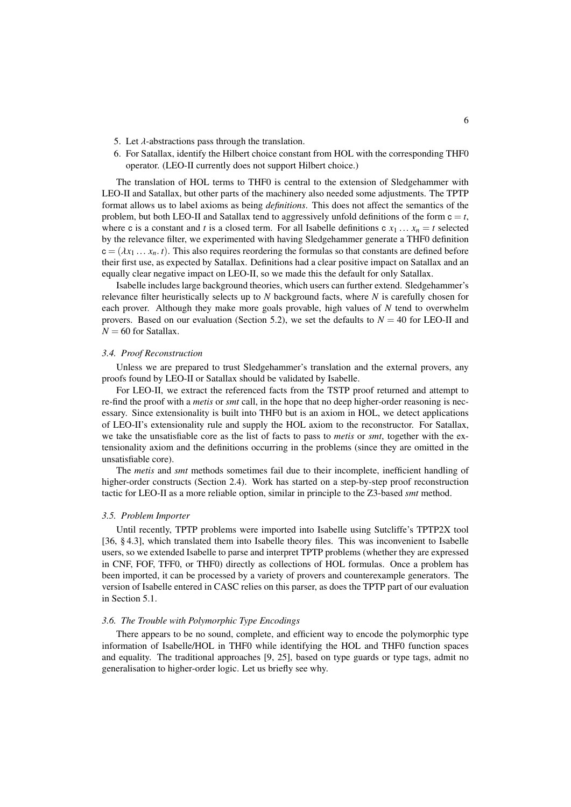- 5. Let  $\lambda$ -abstractions pass through the translation.
- 6. For Satallax, identify the Hilbert choice constant from HOL with the corresponding THF0 operator. (LEO-II currently does not support Hilbert choice.)

The translation of HOL terms to THF0 is central to the extension of Sledgehammer with LEO-II and Satallax, but other parts of the machinery also needed some adjustments. The TPTP format allows us to label axioms as being *definitions*. This does not affect the semantics of the problem, but both LEO-II and Satallax tend to aggressively unfold definitions of the form  $c = t$ , where c is a constant and *t* is a closed term. For all Isabelle definitions c  $x_1 \ldots x_n = t$  selected by the relevance filter, we experimented with having Sledgehammer generate a THF0 definition  $c = (\lambda x_1 \dots x_n, t)$ . This also requires reordering the formulas so that constants are defined before their first use, as expected by Satallax. Definitions had a clear positive impact on Satallax and an equally clear negative impact on LEO-II, so we made this the default for only Satallax.

Isabelle includes large background theories, which users can further extend. Sledgehammer's relevance filter heuristically selects up to *N* background facts, where *N* is carefully chosen for each prover. Although they make more goals provable, high values of *N* tend to overwhelm provers. Based on our evaluation (Section 5.2), we set the defaults to  $N = 40$  for LEO-II and  $N = 60$  for Satallax.

#### *3.4. Proof Reconstruction*

Unless we are prepared to trust Sledgehammer's translation and the external provers, any proofs found by LEO-II or Satallax should be validated by Isabelle.

For LEO-II, we extract the referenced facts from the TSTP proof returned and attempt to re-find the proof with a *metis* or *smt* call, in the hope that no deep higher-order reasoning is necessary. Since extensionality is built into THF0 but is an axiom in HOL, we detect applications of LEO-II's extensionality rule and supply the HOL axiom to the reconstructor. For Satallax, we take the unsatisfiable core as the list of facts to pass to *metis* or *smt*, together with the extensionality axiom and the definitions occurring in the problems (since they are omitted in the unsatisfiable core).

The *metis* and *smt* methods sometimes fail due to their incomplete, inefficient handling of higher-order constructs (Section 2.4). Work has started on a step-by-step proof reconstruction tactic for LEO-II as a more reliable option, similar in principle to the Z3-based *smt* method.

#### *3.5. Problem Importer*

Until recently, TPTP problems were imported into Isabelle using Sutcliffe's TPTP2X tool [36, § 4.3], which translated them into Isabelle theory files. This was inconvenient to Isabelle users, so we extended Isabelle to parse and interpret TPTP problems (whether they are expressed in CNF, FOF, TFF0, or THF0) directly as collections of HOL formulas. Once a problem has been imported, it can be processed by a variety of provers and counterexample generators. The version of Isabelle entered in CASC relies on this parser, as does the TPTP part of our evaluation in Section 5.1.

#### *3.6. The Trouble with Polymorphic Type Encodings*

There appears to be no sound, complete, and efficient way to encode the polymorphic type information of Isabelle/HOL in THF0 while identifying the HOL and THF0 function spaces and equality. The traditional approaches [9, 25], based on type guards or type tags, admit no generalisation to higher-order logic. Let us briefly see why.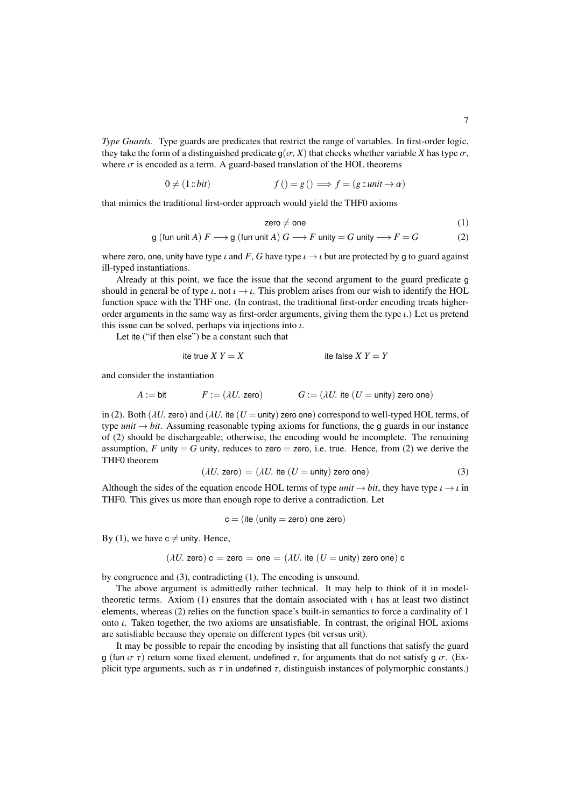*Type Guards.* Type guards are predicates that restrict the range of variables. In first-order logic, they take the form of a distinguished predicate  $q(\sigma, X)$  that checks whether variable X has type  $\sigma$ , where  $\sigma$  is encoded as a term. A guard-based translation of the HOL theorems

$$
0 \neq (1::bit) \qquad f\left(\right) = g\left(\right) \Longrightarrow f = (g::unit \rightarrow \alpha)
$$

that mimics the traditional first-order approach would yield the THF0 axioms

$$
zero \neq one \tag{1}
$$

g (fun unit A) 
$$
F \longrightarrow g
$$
 (fun unit A)  $G \longrightarrow F$  unity  $= G$  unity  $\longrightarrow F = G$  (2)

where zero, one, unity have type  $\iota$  and  $F$ ,  $G$  have type  $\iota \rightarrow \iota$  but are protected by g to guard against ill-typed instantiations.

Already at this point, we face the issue that the second argument to the guard predicate g should in general be of type  $\iota$ , not  $\iota \rightarrow \iota$ . This problem arises from our wish to identify the HOL function space with the THF one. (In contrast, the traditional first-order encoding treats higherorder arguments in the same way as first-order arguments, giving them the type  $\iota$ .) Let us pretend this issue can be solved, perhaps via injections into  $\iota$ .

Let ite ("if then else") be a constant such that

the true 
$$
X Y = X
$$

\nit is false  $X Y = Y$ 

and consider the instantiation

$$
A := \text{bit} \qquad F := (\lambda U. \text{ zero}) \qquad G := (\lambda U. \text{ ite } (U = \text{unity}) \text{ zero one})
$$

in (2). Both ( $\lambda U$ , zero) and ( $\lambda U$ , ite ( $U =$  unity) zero one) correspond to well-typed HOL terms, of type *unit*  $\rightarrow$  *bit*. Assuming reasonable typing axioms for functions, the g guards in our instance of (2) should be dischargeable; otherwise, the encoding would be incomplete. The remaining assumption, *F* unity = *G* unity, reduces to zero = zero, i.e. true. Hence, from (2) we derive the THF0 theorem

$$
(\lambda U. \text{ zero}) = (\lambda U. \text{ ite } (U = \text{unity}) \text{ zero one})
$$
 (3)

Although the sides of the equation encode HOL terms of type *unit*  $\rightarrow$  *bit*, they have type  $\iota \rightarrow \iota$  in<br>THEO. This gives us more than enough rope to derive a contradiction Let THF0. This gives us more than enough rope to derive a contradiction. Let

$$
c = (ite (unity = zero) one zero)
$$

By (1), we have  $c \neq$  unity. Hence,

$$
(\lambda U. \text{ zero}) \, \mathsf{c} = \text{zero} = \text{one} = (\lambda U. \text{ ite } (U = \text{unity}) \text{ zero one}) \, \mathsf{c}
$$

by congruence and (3), contradicting (1). The encoding is unsound.

The above argument is admittedly rather technical. It may help to think of it in modeltheoretic terms. Axiom (1) ensures that the domain associated with  $\iota$  has at least two distinct elements, whereas (2) relies on the function space's built-in semantics to force a cardinality of 1 onto  $\iota$ . Taken together, the two axioms are unsatisfiable. In contrast, the original HOL axioms are satisfiable because they operate on different types (bit versus unit).

It may be possible to repair the encoding by insisting that all functions that satisfy the guard g (fun  $\sigma \tau$ ) return some fixed element, undefined  $\tau$ , for arguments that do not satisfy g  $\sigma$ . (Explicit type arguments, such as  $\tau$  in undefined  $\tau$ , distinguish instances of polymorphic constants.)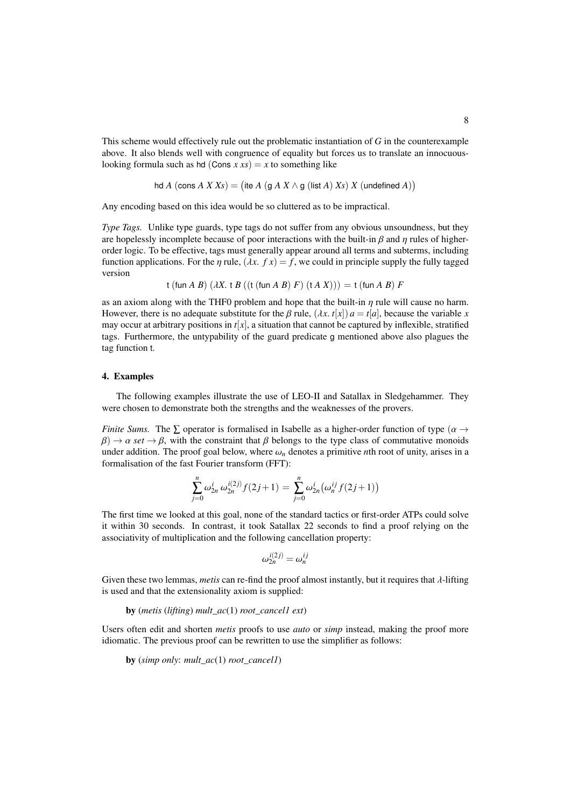This scheme would effectively rule out the problematic instantiation of *G* in the counterexample above. It also blends well with congruence of equality but forces us to translate an innocuouslooking formula such as hd (Cons  $x xs$ ) =  $x$  to something like

hd A (cons A X Xs) = (ite A (g A X 
$$
\wedge
$$
 g (list A) Xs) X (undefined A))

Any encoding based on this idea would be so cluttered as to be impractical.

*Type Tags.* Unlike type guards, type tags do not suffer from any obvious unsoundness, but they are hopelessly incomplete because of poor interactions with the built-in  $\beta$  and  $\eta$  rules of higherorder logic. To be effective, tags must generally appear around all terms and subterms, including function applications. For the  $\eta$  rule,  $(\lambda x. f x) = f$ , we could in principle supply the fully tagged version

t (fun *A B*) 
$$
(\lambda X. t B ((t (fun A B) F) (t A X))) = t (fun A B) F
$$

as an axiom along with the THF0 problem and hope that the built-in  $\eta$  rule will cause no harm. However, there is no adequate substitute for the  $\beta$  rule,  $(\lambda x. t[x]) a = t[a]$ , because the variable *x* may occur at arbitrary positions in  $t[x]$ , a situation that cannot be captured by inflexible, stratified tags. Furthermore, the untypability of the guard predicate g mentioned above also plagues the tag function t.

#### 4. Examples

The following examples illustrate the use of LEO-II and Satallax in Sledgehammer. They were chosen to demonstrate both the strengths and the weaknesses of the provers.

*Finite Sums.* The  $\Sigma$  operator is formalised in Isabelle as a higher-order function of type ( $\alpha \rightarrow$  $\beta$ )  $\rightarrow \alpha$  *set*  $\rightarrow \beta$ , with the constraint that  $\beta$  belongs to the type class of commutative monoids under addition. The proof goal below, where  $\omega_n$  denotes a primitive *n*th root of unity, arises in a formalisation of the fast Fourier transform (FFT):

$$
\sum_{j=0}^n \omega_{2n}^i \omega_{2n}^{i(2j)} f(2j+1) = \sum_{j=0}^n \omega_{2n}^i \big( \omega_n^{ij} f(2j+1) \big)
$$

The first time we looked at this goal, none of the standard tactics or first-order ATPs could solve it within 30 seconds. In contrast, it took Satallax 22 seconds to find a proof relying on the associativity of multiplication and the following cancellation property:

$$
\omega_{2n}^{i(2j)} = \omega_n^{ij}
$$

Given these two lemmas, *metis* can re-find the proof almost instantly, but it requires that λ-lifting is used and that the extensionality axiom is supplied:

by (*metis* (*lifting*) *mult\_ac*(1) *root\_cancel1 ext*)

Users often edit and shorten *metis* proofs to use *auto* or *simp* instead, making the proof more idiomatic. The previous proof can be rewritten to use the simplifier as follows:

by (*simp only*: *mult\_ac*(1) *root\_cancel1*)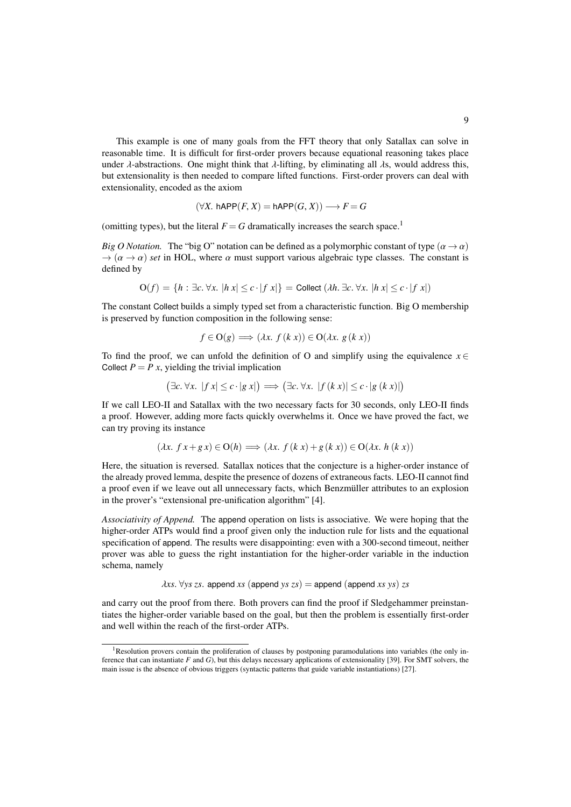This example is one of many goals from the FFT theory that only Satallax can solve in reasonable time. It is difficult for first-order provers because equational reasoning takes place under  $\lambda$ -abstractions. One might think that  $\lambda$ -lifting, by eliminating all  $\lambda$ s, would address this, but extensionality is then needed to compare lifted functions. First-order provers can deal with extensionality, encoded as the axiom

$$
(\forall X. \text{ hAPP}(F, X) = \text{hAPP}(G, X)) \longrightarrow F = G
$$

(omitting types), but the literal  $F = G$  dramatically increases the search space.<sup>1</sup>

*Big O Notation.* The "big O" notation can be defined as a polymorphic constant of type  $(\alpha \rightarrow \alpha)$  $\rightarrow (\alpha \rightarrow \alpha)$  *set* in HOL, where  $\alpha$  must support various algebraic type classes. The constant is defined by

$$
\mathbf{O}(f) = \{ h : \exists c. \forall x. |h \ x| \le c \cdot |f \ x| \} = \text{Collect } (\lambda h. \ \exists c. \ \forall x. |h \ x| \le c \cdot |f \ x|)
$$

The constant Collect builds a simply typed set from a characteristic function. Big O membership is preserved by function composition in the following sense:

$$
f \in \mathcal{O}(g) \Longrightarrow (\lambda x. \ f(k \ x)) \in \mathcal{O}(\lambda x. \ g(k \ x))
$$

To find the proof, we can unfold the definition of O and simplify using the equivalence  $x \in$ Collect  $P = P x$ , yielding the trivial implication

$$
(\exists c. \forall x. |f x| \le c \cdot |g x|) \Longrightarrow (\exists c. \forall x. |f (k x)| \le c \cdot |g (k x)|)
$$

If we call LEO-II and Satallax with the two necessary facts for 30 seconds, only LEO-II finds a proof. However, adding more facts quickly overwhelms it. Once we have proved the fact, we can try proving its instance

$$
(\lambda x. f x + g x) \in O(h) \Longrightarrow (\lambda x. f (k x) + g (k x)) \in O(\lambda x. h (k x))
$$

Here, the situation is reversed. Satallax notices that the conjecture is a higher-order instance of the already proved lemma, despite the presence of dozens of extraneous facts. LEO-II cannot find a proof even if we leave out all unnecessary facts, which Benzmüller attributes to an explosion in the prover's "extensional pre-unification algorithm" [4].

*Associativity of Append.* The append operation on lists is associative. We were hoping that the higher-order ATPs would find a proof given only the induction rule for lists and the equational specification of append. The results were disappointing: even with a 300-second timeout, neither prover was able to guess the right instantiation for the higher-order variable in the induction schema, namely

 $\lambda$ *xs*.  $\forall$ *ys zs*. append *xs* (append *ys zs*) = append (append *xs ys*) *zs* 

and carry out the proof from there. Both provers can find the proof if Sledgehammer preinstantiates the higher-order variable based on the goal, but then the problem is essentially first-order and well within the reach of the first-order ATPs.

<sup>1</sup>Resolution provers contain the proliferation of clauses by postponing paramodulations into variables (the only inference that can instantiate *F* and *G*), but this delays necessary applications of extensionality [39]. For SMT solvers, the main issue is the absence of obvious triggers (syntactic patterns that guide variable instantiations) [27].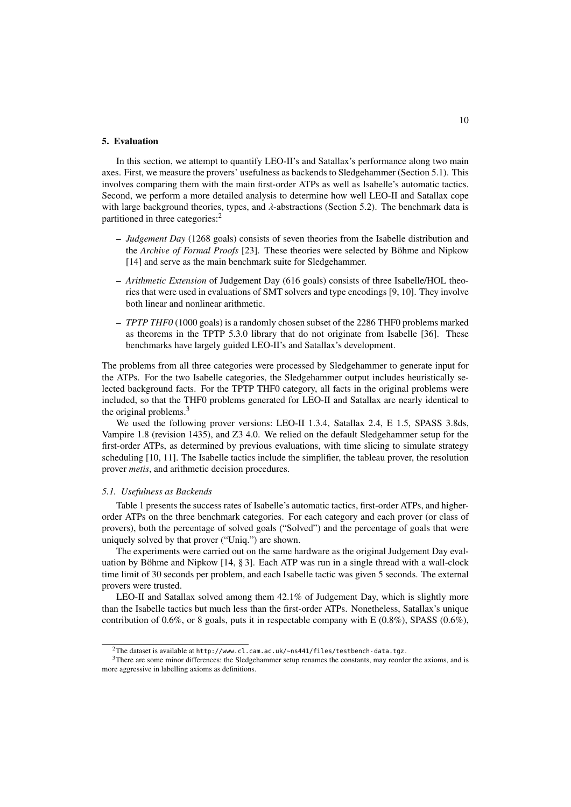# 5. Evaluation

In this section, we attempt to quantify LEO-II's and Satallax's performance along two main axes. First, we measure the provers' usefulness as backends to Sledgehammer (Section 5.1). This involves comparing them with the main first-order ATPs as well as Isabelle's automatic tactics. Second, we perform a more detailed analysis to determine how well LEO-II and Satallax cope with large background theories, types, and  $\lambda$ -abstractions (Section 5.2). The benchmark data is partitioned in three categories:<sup>2</sup>

- *Judgement Day* (1268 goals) consists of seven theories from the Isabelle distribution and the *Archive of Formal Proofs* [23]. These theories were selected by Böhme and Nipkow [14] and serve as the main benchmark suite for Sledgehammer.
- *Arithmetic Extension* of Judgement Day (616 goals) consists of three Isabelle/HOL theories that were used in evaluations of SMT solvers and type encodings [9, 10]. They involve both linear and nonlinear arithmetic.
- *TPTP THF0* (1000 goals) is a randomly chosen subset of the 2286 THF0 problems marked as theorems in the TPTP 5.3.0 library that do not originate from Isabelle [36]. These benchmarks have largely guided LEO-II's and Satallax's development.

The problems from all three categories were processed by Sledgehammer to generate input for the ATPs. For the two Isabelle categories, the Sledgehammer output includes heuristically selected background facts. For the TPTP THF0 category, all facts in the original problems were included, so that the THF0 problems generated for LEO-II and Satallax are nearly identical to the original problems.<sup>3</sup>

We used the following prover versions: LEO-II 1.3.4, Satallax 2.4, E 1.5, SPASS 3.8ds, Vampire 1.8 (revision 1435), and Z3 4.0. We relied on the default Sledgehammer setup for the first-order ATPs, as determined by previous evaluations, with time slicing to simulate strategy scheduling [10, 11]. The Isabelle tactics include the simplifier, the tableau prover, the resolution prover *metis*, and arithmetic decision procedures.

#### *5.1. Usefulness as Backends*

Table 1 presents the success rates of Isabelle's automatic tactics, first-order ATPs, and higherorder ATPs on the three benchmark categories. For each category and each prover (or class of provers), both the percentage of solved goals ("Solved") and the percentage of goals that were uniquely solved by that prover ("Uniq.") are shown.

The experiments were carried out on the same hardware as the original Judgement Day evaluation by Böhme and Nipkow [14, § 3]. Each ATP was run in a single thread with a wall-clock time limit of 30 seconds per problem, and each Isabelle tactic was given 5 seconds. The external provers were trusted.

LEO-II and Satallax solved among them 42.1% of Judgement Day, which is slightly more than the Isabelle tactics but much less than the first-order ATPs. Nonetheless, Satallax's unique contribution of  $0.6\%$ , or 8 goals, puts it in respectable company with E ( $0.8\%$ ), SPASS ( $0.6\%$ ),

 $^{2}$ The dataset is available at http://www.cl.cam.ac.uk/~ns441/files/testbench-data.tgz.

<sup>&</sup>lt;sup>3</sup>There are some minor differences: the Sledgehammer setup renames the constants, may reorder the axioms, and is more aggressive in labelling axioms as definitions.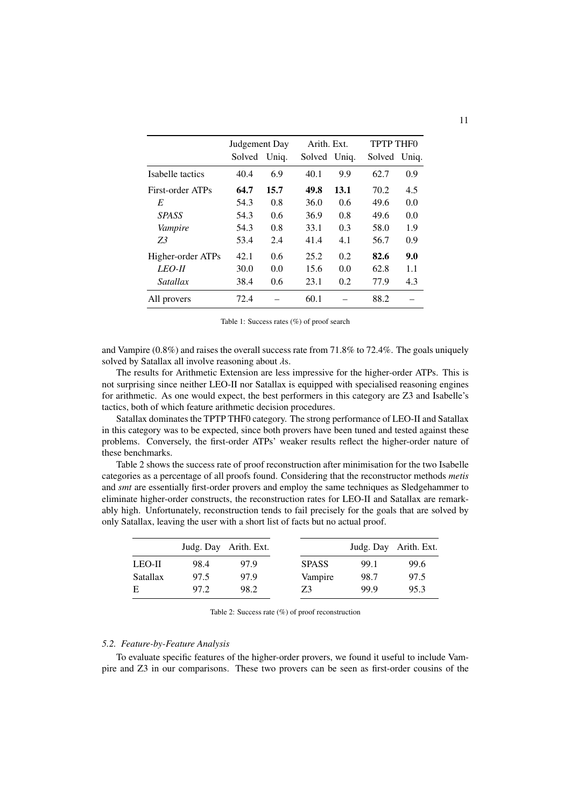|                   | Judgement Day |       | Arith. Ext.  |      | <b>TPTP THFO</b> |     |  |
|-------------------|---------------|-------|--------------|------|------------------|-----|--|
|                   | Solved        | Uniq. | Solved Uniq. |      | Solved Uniq.     |     |  |
| Isabelle tactics  | 40.4          | 6.9   | 40.1         | 9.9  | 62.7             | 0.9 |  |
| First-order ATPs  | 64.7          | 15.7  | 49.8         | 13.1 | 70.2             | 4.5 |  |
| E                 | 54.3          | 0.8   | 36.0         | 0.6  | 49.6             | 0.0 |  |
| <b>SPASS</b>      | 54.3          | 0.6   | 36.9         | 0.8  | 49.6             | 0.0 |  |
| Vampire           | 54.3          | 0.8   | 33.1         | 0.3  | 58.0             | 1.9 |  |
| Z3                | 53.4          | 2.4   | 41.4         | 4.1  | 56.7             | 0.9 |  |
| Higher-order ATPs | 42.1          | 0.6   | 25.2         | 0.2  | 82.6             | 9.0 |  |
| LEO-II            | 30.0          | 0.0   | 15.6         | 0.0  | 62.8             | 1.1 |  |
| Satallax          | 38.4          | 0.6   | 23.1         | 0.2  | 77.9             | 4.3 |  |
| All provers       | 72.4          |       | 60.1         |      | 88.2             |     |  |

Table 1: Success rates (%) of proof search

and Vampire (0.8%) and raises the overall success rate from 71.8% to 72.4%. The goals uniquely solved by Satallax all involve reasoning about  $\lambda$ s.

The results for Arithmetic Extension are less impressive for the higher-order ATPs. This is not surprising since neither LEO-II nor Satallax is equipped with specialised reasoning engines for arithmetic. As one would expect, the best performers in this category are Z3 and Isabelle's tactics, both of which feature arithmetic decision procedures.

Satallax dominates the TPTP THF0 category. The strong performance of LEO-II and Satallax in this category was to be expected, since both provers have been tuned and tested against these problems. Conversely, the first-order ATPs' weaker results reflect the higher-order nature of these benchmarks.

Table 2 shows the success rate of proof reconstruction after minimisation for the two Isabelle categories as a percentage of all proofs found. Considering that the reconstructor methods *metis* and *smt* are essentially first-order provers and employ the same techniques as Sledgehammer to eliminate higher-order constructs, the reconstruction rates for LEO-II and Satallax are remarkably high. Unfortunately, reconstruction tends to fail precisely for the goals that are solved by only Satallax, leaving the user with a short list of facts but no actual proof.

|                 |      | Judg. Day Arith. Ext. |              |      | Judg. Day Arith. Ext. |
|-----------------|------|-----------------------|--------------|------|-----------------------|
| $LEO-II$        | 98.4 | 97.9                  | <b>SPASS</b> | 99.1 | 99.6                  |
| <b>Satallax</b> | 97.5 | 97.9                  | Vampire      | 98.7 | 97.5                  |
| E               | 97.2 | 98.2                  | Z3           | 99.9 | 95.3                  |

Table 2: Success rate (%) of proof reconstruction

# *5.2. Feature-by-Feature Analysis*

To evaluate specific features of the higher-order provers, we found it useful to include Vampire and Z3 in our comparisons. These two provers can be seen as first-order cousins of the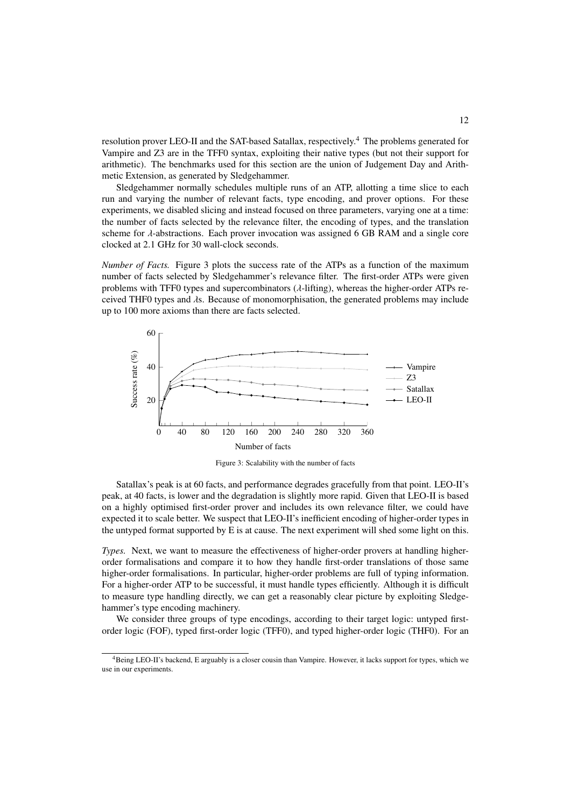resolution prover LEO-II and the SAT-based Satallax, respectively.<sup>4</sup> The problems generated for Vampire and Z3 are in the TFF0 syntax, exploiting their native types (but not their support for arithmetic). The benchmarks used for this section are the union of Judgement Day and Arithmetic Extension, as generated by Sledgehammer.

Sledgehammer normally schedules multiple runs of an ATP, allotting a time slice to each run and varying the number of relevant facts, type encoding, and prover options. For these experiments, we disabled slicing and instead focused on three parameters, varying one at a time: the number of facts selected by the relevance filter, the encoding of types, and the translation scheme for  $\lambda$ -abstractions. Each prover invocation was assigned 6 GB RAM and a single core clocked at 2.1 GHz for 30 wall-clock seconds.

*Number of Facts.* Figure 3 plots the success rate of the ATPs as a function of the maximum number of facts selected by Sledgehammer's relevance filter. The first-order ATPs were given problems with TFF0 types and supercombinators (λ-lifting), whereas the higher-order ATPs received THF0 types and λs. Because of monomorphisation, the generated problems may include up to 100 more axioms than there are facts selected.



Figure 3: Scalability with the number of facts

Satallax's peak is at 60 facts, and performance degrades gracefully from that point. LEO-II's peak, at 40 facts, is lower and the degradation is slightly more rapid. Given that LEO-II is based on a highly optimised first-order prover and includes its own relevance filter, we could have expected it to scale better. We suspect that LEO-II's inefficient encoding of higher-order types in the untyped format supported by E is at cause. The next experiment will shed some light on this.

*Types.* Next, we want to measure the effectiveness of higher-order provers at handling higherorder formalisations and compare it to how they handle first-order translations of those same higher-order formalisations. In particular, higher-order problems are full of typing information. For a higher-order ATP to be successful, it must handle types efficiently. Although it is difficult to measure type handling directly, we can get a reasonably clear picture by exploiting Sledgehammer's type encoding machinery.

We consider three groups of type encodings, according to their target logic: untyped firstorder logic (FOF), typed first-order logic (TFF0), and typed higher-order logic (THF0). For an

<sup>4</sup>Being LEO-II's backend, E arguably is a closer cousin than Vampire. However, it lacks support for types, which we use in our experiments.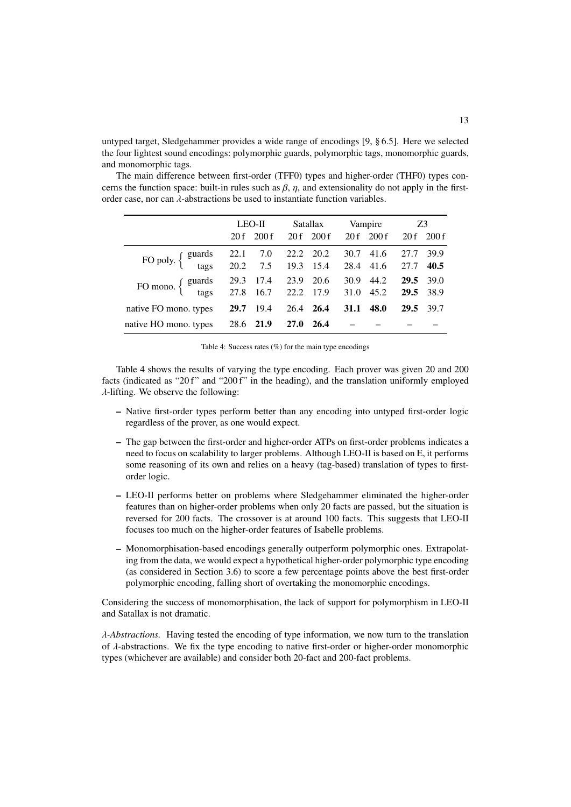untyped target, Sledgehammer provides a wide range of encodings [9, § 6.5]. Here we selected the four lightest sound encodings: polymorphic guards, polymorphic tags, monomorphic guards, and monomorphic tags.

The main difference between first-order (TFF0) types and higher-order (THF0) types concerns the function space: built-in rules such as  $\beta$ ,  $\eta$ , and extensionality do not apply in the firstorder case, nor can  $\lambda$ -abstractions be used to instantiate function variables.

|                                                                                     | LEO-II |      | Satallax    |            |             |              | Vampire Z3   |                   |
|-------------------------------------------------------------------------------------|--------|------|-------------|------------|-------------|--------------|--------------|-------------------|
|                                                                                     | 20f    | 200f |             | 20 f 200 f |             | $20f$ $200f$ | 20 f         | 200f              |
| FO poly. { guards 22.1 7.0 22.2 20.2 30.7 41.6<br>tags 20.2 7.5 19.3 15.4 28.4 41.6 |        |      |             |            |             |              | 27.7<br>27.7 | 39.9<br>40.5      |
| FO mono. { guards 29.3 17.4 23.9 20.6<br>tags 27.8 16.7 22.2 17.9                   |        |      |             |            | 31.0 45.2   | 30.9 44.2    | 29.5         | 39.0<br>29.5 38.9 |
| native FO mono. types                                                               | 29.7   | 19.4 |             | 26.4 26.4  | <b>31.1</b> | 48.0         | <b>29.5</b>  | 39.7              |
| native HO mono. types                                                               | 28.6   | 21.9 | <b>27.0</b> | 26.4       |             |              |              |                   |

| Table 4: Success rates $(\%)$ for the main type encodings |  |  |  |  |
|-----------------------------------------------------------|--|--|--|--|
|                                                           |  |  |  |  |
|                                                           |  |  |  |  |

Table 4 shows the results of varying the type encoding. Each prover was given 20 and 200 facts (indicated as "20 f" and "200 f" in the heading), and the translation uniformly employed  $\lambda$ -lifting. We observe the following:

- Native first-order types perform better than any encoding into untyped first-order logic regardless of the prover, as one would expect.
- The gap between the first-order and higher-order ATPs on first-order problems indicates a need to focus on scalability to larger problems. Although LEO-II is based on E, it performs some reasoning of its own and relies on a heavy (tag-based) translation of types to firstorder logic.
- LEO-II performs better on problems where Sledgehammer eliminated the higher-order features than on higher-order problems when only 20 facts are passed, but the situation is reversed for 200 facts. The crossover is at around 100 facts. This suggests that LEO-II focuses too much on the higher-order features of Isabelle problems.
- Monomorphisation-based encodings generally outperform polymorphic ones. Extrapolating from the data, we would expect a hypothetical higher-order polymorphic type encoding (as considered in Section 3.6) to score a few percentage points above the best first-order polymorphic encoding, falling short of overtaking the monomorphic encodings.

Considering the success of monomorphisation, the lack of support for polymorphism in LEO-II and Satallax is not dramatic.

λ*-Abstractions.* Having tested the encoding of type information, we now turn to the translation of  $\lambda$ -abstractions. We fix the type encoding to native first-order or higher-order monomorphic types (whichever are available) and consider both 20-fact and 200-fact problems.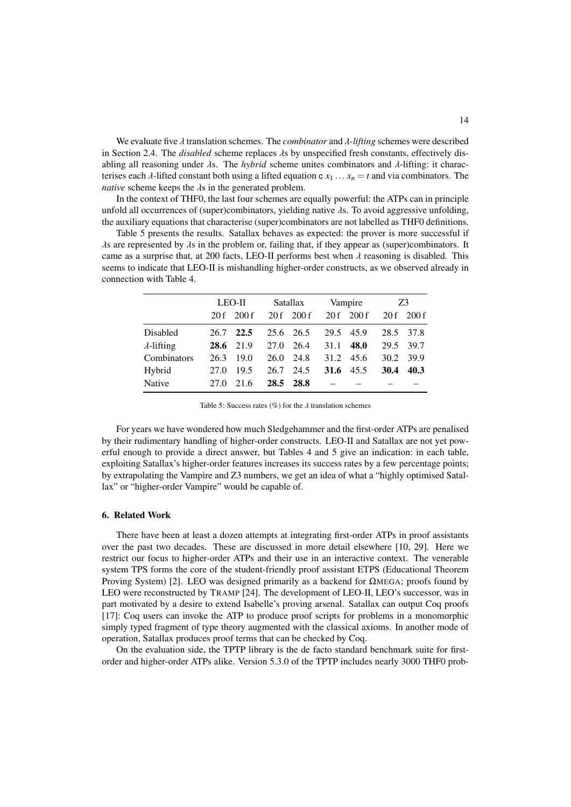We evaluate five λ translation schemes. The *combinator* and λ*-lifting* schemes were described in Section 2.4. The *disabled* scheme replaces λs by unspecified fresh constants, effectively disabling all reasoning under λs. The *hybrid* scheme unites combinators and λ-lifting: it characterises each  $\lambda$ -lifted constant both using a lifted equation c  $x_1 \ldots x_n = t$  and via combinators. The *native* scheme keeps the λs in the generated problem.

In the context of THF0, the last four schemes are equally powerful: the ATPs can in principle unfold all occurrences of (super)combinators, yielding native  $\lambda$ s. To avoid aggressive unfolding, the auxiliary equations that characterise (super)combinators are not labelled as THF0 definitions.

Table 5 presents the results. Satallax behaves as expected: the prover is more successful if  $\lambda$ s are represented by  $\lambda$ s in the problem or, failing that, if they appear as (super)combinators. It came as a surprise that, at 200 facts, LEO-II performs best when  $\lambda$  reasoning is disabled. This seems to indicate that LEO-II is mishandling higher-order constructs, as we observed already in connection with Table 4.

|                    | $LEO-II$ |           |      | Satallax     |      | Vampire  | Z3   |           |
|--------------------|----------|-----------|------|--------------|------|----------|------|-----------|
|                    | 20f      | 200 f     |      | $20f$ $200f$ |      | 20f 200f | 20f  | 200f      |
| Disabled           | 26.7     | 22.5      |      | 25.6 26.5    | 29.5 | 45.9     |      | 28.5 37.8 |
| $\lambda$ -lifting |          | 28.6 21.9 | 27.0 | 26.4         | 31.1 | 48.0     | 29.5 | 39.7      |
| Combinators        | 26.3     | 19.0      |      | 26.0 24.8    | 31.2 | 45.6     | 30.2 | 39.9      |
| Hybrid             | 27.0     | 19.5      | 26.7 | 24.5         | 31.6 | 45.5     | 30.4 | 40.3      |
| Native             | 27.0     | 21.6      | 28.5 | 28.8         |      |          |      |           |

Table 5: Success rates (%) for the  $\lambda$  translation schemes

For years we have wondered how much Sledgehammer and the first-order ATPs are penalised by their rudimentary handling of higher-order constructs. LEO-II and Satallax are not yet powerful enough to provide a direct answer, but Tables 4 and 5 give an indication: in each table, exploiting Satallax's higher-order features increases its success rates by a few percentage points; by extrapolating the Vampire and Z3 numbers, we get an idea of what a "highly optimised Satallax" or "higher-order Vampire" would be capable of.

#### 6. Related Work

There have been at least a dozen attempts at integrating first-order ATPs in proof assistants over the past two decades. These are discussed in more detail elsewhere [10, 29]. Here we restrict our focus to higher-order ATPs and their use in an interactive context. The venerable system TPS forms the core of the student-friendly proof assistant ETPS (Educational Theorem Proving System) [2]. LEO was designed primarily as a backend for ΩMEGA; proofs found by LEO were reconstructed by TRAMP [24]. The development of LEO-II, LEO's successor, was in part motivated by a desire to extend Isabelle's proving arsenal. Satallax can output Coq proofs [17]: Coq users can invoke the ATP to produce proof scripts for problems in a monomorphic simply typed fragment of type theory augmented with the classical axioms. In another mode of operation, Satallax produces proof terms that can be checked by Coq.

On the evaluation side, the TPTP library is the de facto standard benchmark suite for firstorder and higher-order ATPs alike. Version 5.3.0 of the TPTP includes nearly 3000 THF0 prob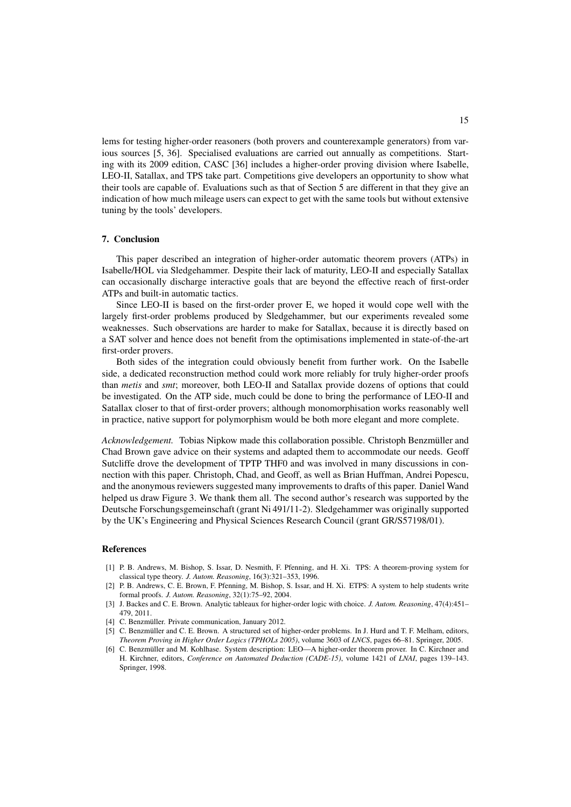lems for testing higher-order reasoners (both provers and counterexample generators) from various sources [5, 36]. Specialised evaluations are carried out annually as competitions. Starting with its 2009 edition, CASC [36] includes a higher-order proving division where Isabelle, LEO-II, Satallax, and TPS take part. Competitions give developers an opportunity to show what their tools are capable of. Evaluations such as that of Section 5 are different in that they give an indication of how much mileage users can expect to get with the same tools but without extensive tuning by the tools' developers.

#### 7. Conclusion

This paper described an integration of higher-order automatic theorem provers (ATPs) in Isabelle/HOL via Sledgehammer. Despite their lack of maturity, LEO-II and especially Satallax can occasionally discharge interactive goals that are beyond the effective reach of first-order ATPs and built-in automatic tactics.

Since LEO-II is based on the first-order prover E, we hoped it would cope well with the largely first-order problems produced by Sledgehammer, but our experiments revealed some weaknesses. Such observations are harder to make for Satallax, because it is directly based on a SAT solver and hence does not benefit from the optimisations implemented in state-of-the-art first-order provers.

Both sides of the integration could obviously benefit from further work. On the Isabelle side, a dedicated reconstruction method could work more reliably for truly higher-order proofs than *metis* and *smt*; moreover, both LEO-II and Satallax provide dozens of options that could be investigated. On the ATP side, much could be done to bring the performance of LEO-II and Satallax closer to that of first-order provers; although monomorphisation works reasonably well in practice, native support for polymorphism would be both more elegant and more complete.

*Acknowledgement.* Tobias Nipkow made this collaboration possible. Christoph Benzmüller and Chad Brown gave advice on their systems and adapted them to accommodate our needs. Geoff Sutcliffe drove the development of TPTP THF0 and was involved in many discussions in connection with this paper. Christoph, Chad, and Geoff, as well as Brian Huffman, Andrei Popescu, and the anonymous reviewers suggested many improvements to drafts of this paper. Daniel Wand helped us draw Figure 3. We thank them all. The second author's research was supported by the Deutsche Forschungsgemeinschaft (grant Ni 491/11-2). Sledgehammer was originally supported by the UK's Engineering and Physical Sciences Research Council (grant GR/S57198/01).

# References

- [1] P. B. Andrews, M. Bishop, S. Issar, D. Nesmith, F. Pfenning, and H. Xi. TPS: A theorem-proving system for classical type theory. *J. Autom. Reasoning*, 16(3):321–353, 1996.
- [2] P. B. Andrews, C. E. Brown, F. Pfenning, M. Bishop, S. Issar, and H. Xi. ETPS: A system to help students write formal proofs. *J. Autom. Reasoning*, 32(1):75–92, 2004.
- [3] J. Backes and C. E. Brown. Analytic tableaux for higher-order logic with choice. *J. Autom. Reasoning*, 47(4):451– 479, 2011.
- [4] C. Benzmüller. Private communication, January 2012.
- [5] C. Benzmüller and C. E. Brown. A structured set of higher-order problems. In J. Hurd and T. F. Melham, editors, *Theorem Proving in Higher Order Logics (TPHOLs 2005)*, volume 3603 of *LNCS*, pages 66–81. Springer, 2005.
- [6] C. Benzmüller and M. Kohlhase. System description: LEO—A higher-order theorem prover. In C. Kirchner and H. Kirchner, editors, *Conference on Automated Deduction (CADE-15)*, volume 1421 of *LNAI*, pages 139–143. Springer, 1998.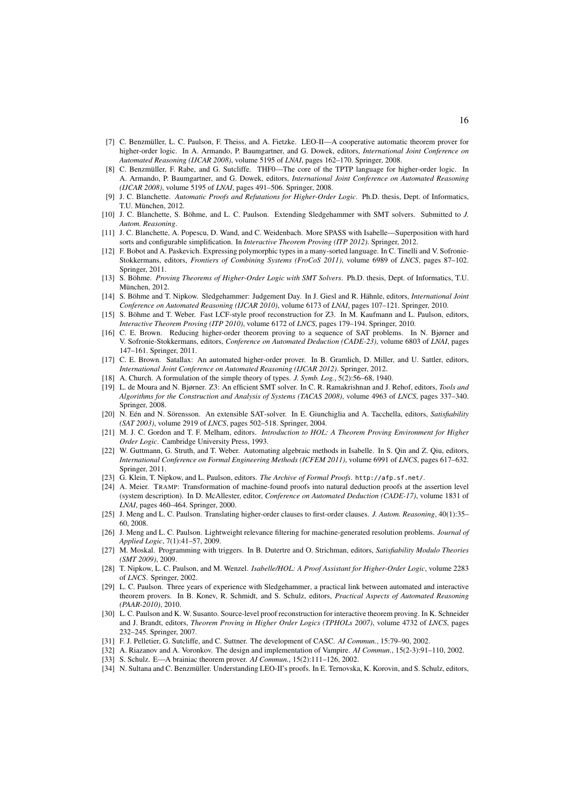- [7] C. Benzmüller, L. C. Paulson, F. Theiss, and A. Fietzke. LEO-II—A cooperative automatic theorem prover for higher-order logic. In A. Armando, P. Baumgartner, and G. Dowek, editors, *International Joint Conference on Automated Reasoning (IJCAR 2008)*, volume 5195 of *LNAI*, pages 162–170. Springer, 2008.
- [8] C. Benzmüller, F. Rabe, and G. Sutcliffe. THF0—The core of the TPTP language for higher-order logic. In A. Armando, P. Baumgartner, and G. Dowek, editors, *International Joint Conference on Automated Reasoning (IJCAR 2008)*, volume 5195 of *LNAI*, pages 491–506. Springer, 2008.
- [9] J. C. Blanchette. *Automatic Proofs and Refutations for Higher-Order Logic*. Ph.D. thesis, Dept. of Informatics, T.U. München, 2012.
- [10] J. C. Blanchette, S. Böhme, and L. C. Paulson. Extending Sledgehammer with SMT solvers. Submitted to *J. Autom. Reasoning*.
- [11] J. C. Blanchette, A. Popescu, D. Wand, and C. Weidenbach. More SPASS with Isabelle—Superposition with hard sorts and configurable simplification. In *Interactive Theorem Proving (ITP 2012)*. Springer, 2012.
- [12] F. Bobot and A. Paskevich. Expressing polymorphic types in a many-sorted language. In C. Tinelli and V. Sofronie-Stokkermans, editors, *Frontiers of Combining Systems (FroCoS 2011)*, volume 6989 of *LNCS*, pages 87–102. Springer, 2011.
- [13] S. Böhme. *Proving Theorems of Higher-Order Logic with SMT Solvers*. Ph.D. thesis, Dept. of Informatics, T.U. München, 2012.
- [14] S. Böhme and T. Nipkow. Sledgehammer: Judgement Day. In J. Giesl and R. Hähnle, editors, *International Joint Conference on Automated Reasoning (IJCAR 2010)*, volume 6173 of *LNAI*, pages 107–121. Springer, 2010.
- [15] S. Böhme and T. Weber. Fast LCF-style proof reconstruction for Z3. In M. Kaufmann and L. Paulson, editors, *Interactive Theorem Proving (ITP 2010)*, volume 6172 of *LNCS*, pages 179–194. Springer, 2010.
- [16] C. E. Brown. Reducing higher-order theorem proving to a sequence of SAT problems. In N. Bjørner and V. Sofronie-Stokkermans, editors, *Conference on Automated Deduction (CADE-23)*, volume 6803 of *LNAI*, pages 147–161. Springer, 2011.
- [17] C. E. Brown. Satallax: An automated higher-order prover. In B. Gramlich, D. Miller, and U. Sattler, editors, *International Joint Conference on Automated Reasoning (IJCAR 2012)*. Springer, 2012.
- [18] A. Church. A formulation of the simple theory of types. *J. Symb. Log.*, 5(2):56–68, 1940.
- [19] L. de Moura and N. Bjørner. Z3: An efficient SMT solver. In C. R. Ramakrishnan and J. Rehof, editors, *Tools and Algorithms for the Construction and Analysis of Systems (TACAS 2008)*, volume 4963 of *LNCS*, pages 337–340. Springer, 2008.
- [20] N. Eén and N. Sörensson. An extensible SAT-solver. In E. Giunchiglia and A. Tacchella, editors, *Satisfiability (SAT 2003)*, volume 2919 of *LNCS*, pages 502–518. Springer, 2004.
- [21] M. J. C. Gordon and T. F. Melham, editors. *Introduction to HOL: A Theorem Proving Environment for Higher Order Logic*. Cambridge University Press, 1993.
- [22] W. Guttmann, G. Struth, and T. Weber. Automating algebraic methods in Isabelle. In S. Qin and Z. Qiu, editors, *International Conference on Formal Engineering Methods (ICFEM 2011)*, volume 6991 of *LNCS*, pages 617–632. Springer, 2011.
- [23] G. Klein, T. Nipkow, and L. Paulson, editors. *The Archive of Formal Proofs*. http://afp.sf.net/.
- [24] A. Meier. TRAMP: Transformation of machine-found proofs into natural deduction proofs at the assertion level (system description). In D. McAllester, editor, *Conference on Automated Deduction (CADE-17)*, volume 1831 of *LNAI*, pages 460–464. Springer, 2000.
- [25] J. Meng and L. C. Paulson. Translating higher-order clauses to first-order clauses. *J. Autom. Reasoning*, 40(1):35– 60, 2008.
- [26] J. Meng and L. C. Paulson. Lightweight relevance filtering for machine-generated resolution problems. *Journal of Applied Logic*, 7(1):41–57, 2009.
- [27] M. Moskal. Programming with triggers. In B. Dutertre and O. Strichman, editors, *Satisfiability Modulo Theories (SMT 2009)*, 2009.
- [28] T. Nipkow, L. C. Paulson, and M. Wenzel. *Isabelle/HOL: A Proof Assistant for Higher-Order Logic*, volume 2283 of *LNCS*. Springer, 2002.
- [29] L. C. Paulson. Three years of experience with Sledgehammer, a practical link between automated and interactive theorem provers. In B. Konev, R. Schmidt, and S. Schulz, editors, *Practical Aspects of Automated Reasoning (PAAR-2010)*, 2010.
- [30] L. C. Paulson and K. W. Susanto. Source-level proof reconstruction for interactive theorem proving. In K. Schneider and J. Brandt, editors, *Theorem Proving in Higher Order Logics (TPHOLs 2007)*, volume 4732 of *LNCS*, pages 232–245. Springer, 2007.
- [31] F. J. Pelletier, G. Sutcliffe, and C. Suttner. The development of CASC. *AI Commun.*, 15:79–90, 2002.
- [32] A. Riazanov and A. Voronkov. The design and implementation of Vampire. *AI Commun.*, 15(2-3):91–110, 2002.
- [33] S. Schulz. E—A brainiac theorem prover. *AI Commun.*, 15(2):111–126, 2002.
- [34] N. Sultana and C. Benzmüller. Understanding LEO-II's proofs. In E. Ternovska, K. Korovin, and S. Schulz, editors,